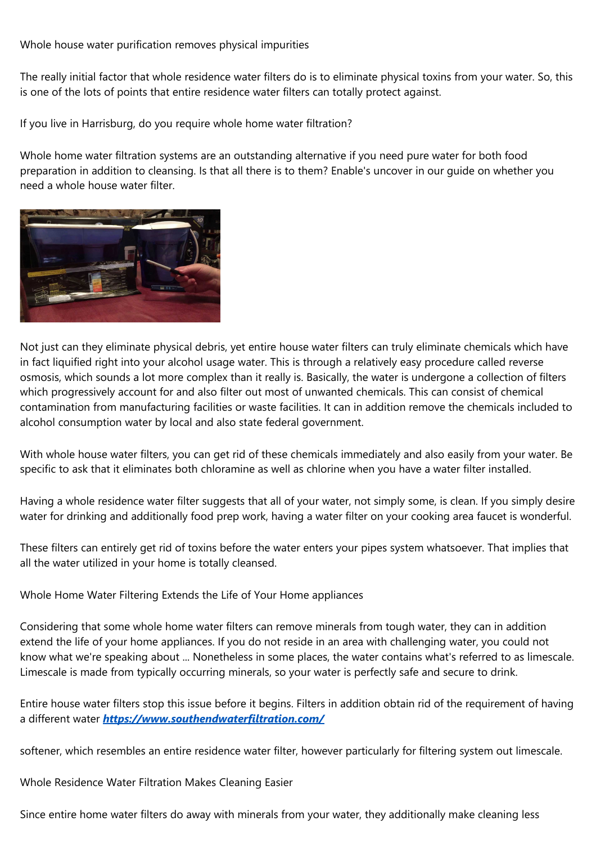Whole house water purification removes physical impurities

The really initial factor that whole residence water filters do is to eliminate physical toxins from your water. So, this is one of the lots of points that entire residence water filters can totally protect against.

If you live in Harrisburg, do you require whole home water filtration?

Whole home water filtration systems are an outstanding alternative if you need pure water for both food preparation in addition to cleansing. Is that all there is to them? Enable's uncover in our guide on whether you need a whole house water filter.



Not just can they eliminate physical debris, yet entire house water filters can truly eliminate chemicals which have in fact liquified right into your alcohol usage water. This is through a relatively easy procedure called reverse osmosis, which sounds a lot more complex than it really is. Basically, the water is undergone a collection of filters which progressively account for and also filter out most of unwanted chemicals. This can consist of chemical contamination from manufacturing facilities or waste facilities. It can in addition remove the chemicals included to alcohol consumption water by local and also state federal government.

With whole house water filters, you can get rid of these chemicals immediately and also easily from your water. Be specific to ask that it eliminates both chloramine as well as chlorine when you have a water filter installed.

Having a whole residence water filter suggests that all of your water, not simply some, is clean. If you simply desire water for drinking and additionally food prep work, having a water filter on your cooking area faucet is wonderful.

These filters can entirely get rid of toxins before the water enters your pipes system whatsoever. That implies that all the water utilized in your home is totally cleansed.

Whole Home Water Filtering Extends the Life of Your Home appliances

Considering that some whole home water filters can remove minerals from tough water, they can in addition extend the life of your home appliances. If you do not reside in an area with challenging water, you could not know what we're speaking about ... Nonetheless in some places, the water contains what's referred to as limescale. Limescale is made from typically occurring minerals, so your water is perfectly safe and secure to drink.

Entire house water filters stop this issue before it begins. Filters in addition obtain rid of the requirement of having a different water *<https://www.southendwaterfiltration.com/>*

softener, which resembles an entire residence water filter, however particularly for filtering system out limescale.

Whole Residence Water Filtration Makes Cleaning Easier

Since entire home water filters do away with minerals from your water, they additionally make cleaning less